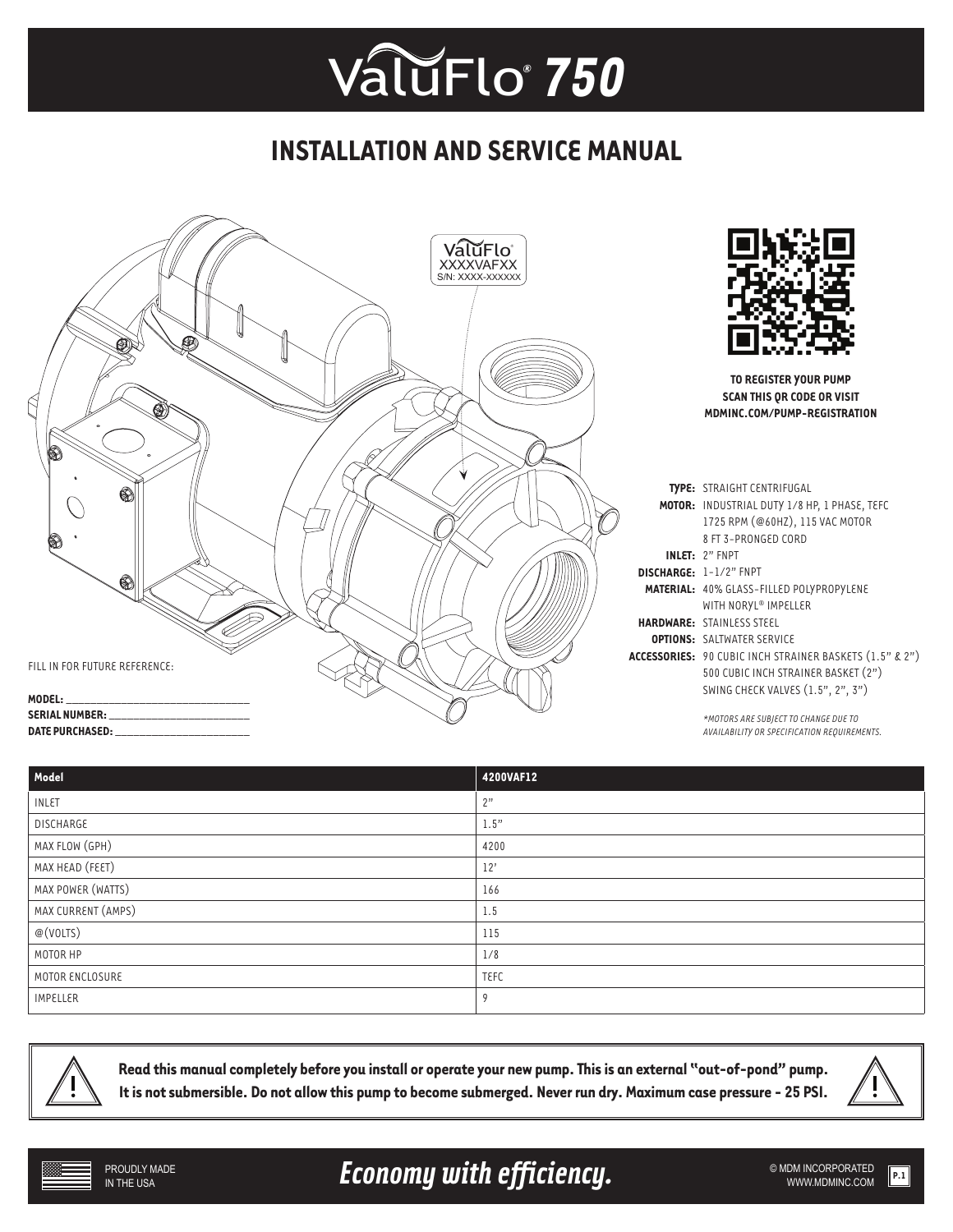## **INSTALLATION AND SERVICE MANUAL**



| Model              | 4200VAF12   |
|--------------------|-------------|
| INLET              | 2"          |
| DISCHARGE          | 1.5"        |
| MAX FLOW (GPH)     | 4200        |
| MAX HEAD (FEET)    | 12'         |
| MAX POWER (WATTS)  | 166         |
| MAX CURRENT (AMPS) | 1.5         |
| @(VOLTS)           | 115         |
| MOTOR HP           | 1/8         |
| MOTOR ENCLOSURE    | <b>TEFC</b> |
| <b>IMPELLER</b>    | 9           |



**Read this manual completely before you install or operate your new pump. This is an external "out-of-pond" pump. It is not submersible. Do not allow this pump to become submerged. Never run dry. Maximum case pressure - 25 PSI.**



Economy with efficiency. **Example 2018 MDM INCORPORATED**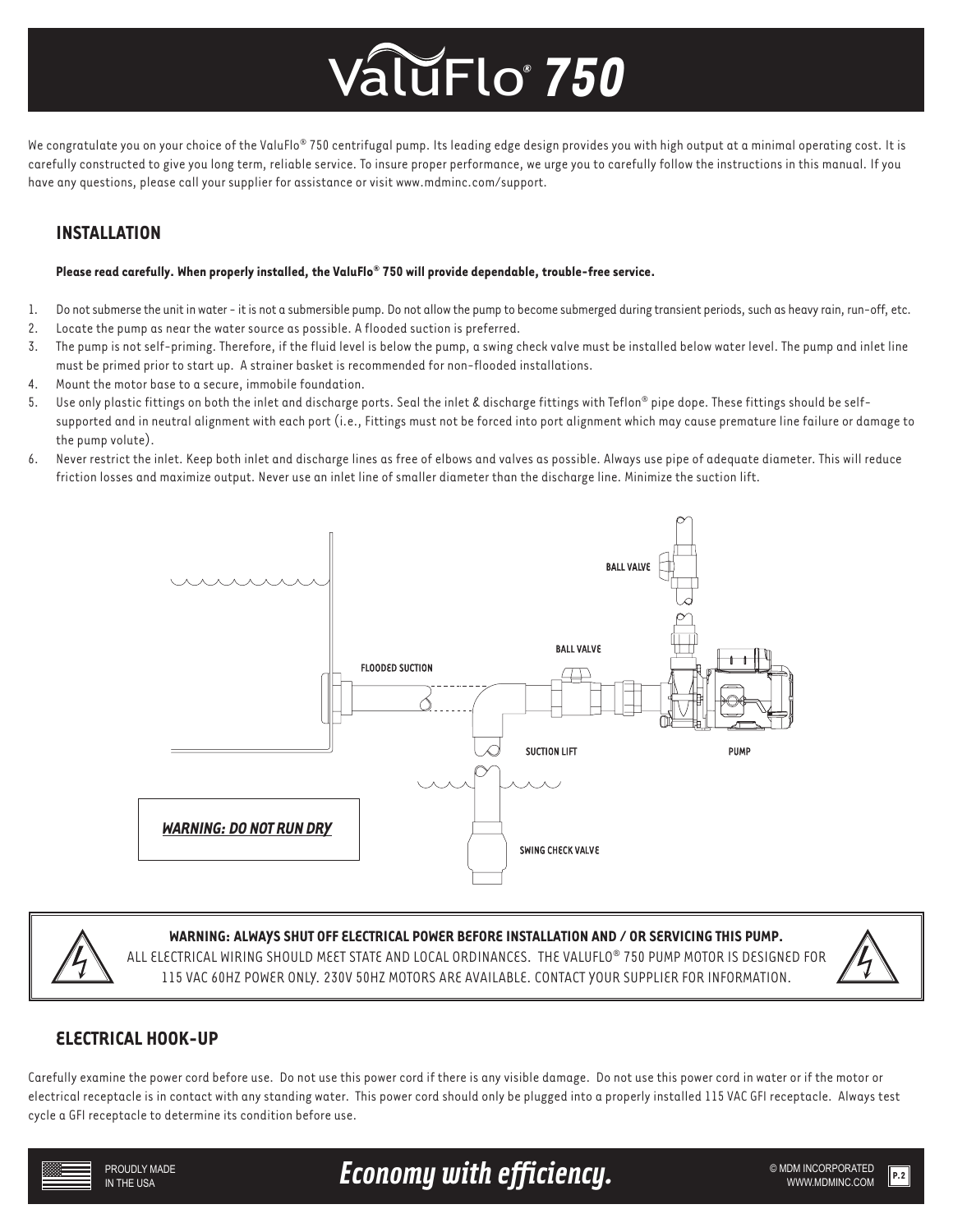We congratulate you on your choice of the ValuFlo® 750 centrifugal pump. Its leading edge design provides you with high output at a minimal operating cost. It is carefully constructed to give you long term, reliable service. To insure proper performance, we urge you to carefully follow the instructions in this manual. If you have any questions, please call your supplier for assistance or visit www.mdminc.com/support.

### **INSTALLATION**

### **Please read carefully. When properly installed, the ValuFlo® 750 will provide dependable, trouble-free service.**

- 1. Do not submerse the unit in water it is not a submersible pump. Do not allow the pump to become submerged during transient periods, such as heavy rain, run-off, etc.
- 2. Locate the pump as near the water source as possible. A flooded suction is preferred.
- 3. The pump is not self-priming. Therefore, if the fluid level is below the pump, a swing check valve must be installed below water level. The pump and inlet line must be primed prior to start up. A strainer basket is recommended for non-flooded installations.
- 4. Mount the motor base to a secure, immobile foundation.
- 5. Use only plastic fittings on both the inlet and discharge ports. Seal the inlet & discharge fittings with Teflon® pipe dope. These fittings should be selfsupported and in neutral alignment with each port (i.e., Fittings must not be forced into port alignment which may cause premature line failure or damage to the pump volute).
- 6. Never restrict the inlet. Keep both inlet and discharge lines as free of elbows and valves as possible. Always use pipe of adequate diameter. This will reduce friction losses and maximize output. Never use an inlet line of smaller diameter than the discharge line. Minimize the suction lift.





### **WARNING: ALWAYS SHUT OFF ELECTRICAL POWER BEFORE INSTALLATION AND / OR SERVICING THIS PUMP.**

ALL ELECTRICAL WIRING SHOULD MEET STATE AND LOCAL ORDINANCES. THE VALUFLO® 750 PUMP MOTOR IS DESIGNED FOR 115 VAC 60HZ POWER ONLY. 230V 50HZ MOTORS ARE AVAILABLE. CONTACT YOUR SUPPLIER FOR INFORMATION.



### **ELECTRICAL HOOK-UP**

Carefully examine the power cord before use. Do not use this power cord if there is any visible damage. Do not use this power cord in water or if the motor or electrical receptacle is in contact with any standing water. This power cord should only be plugged into a properly installed 115 VAC GFI receptacle. Always test cycle a GFI receptacle to determine its condition before use.



Economy with efficiency. **Example 2018 MDM INCORPORATED**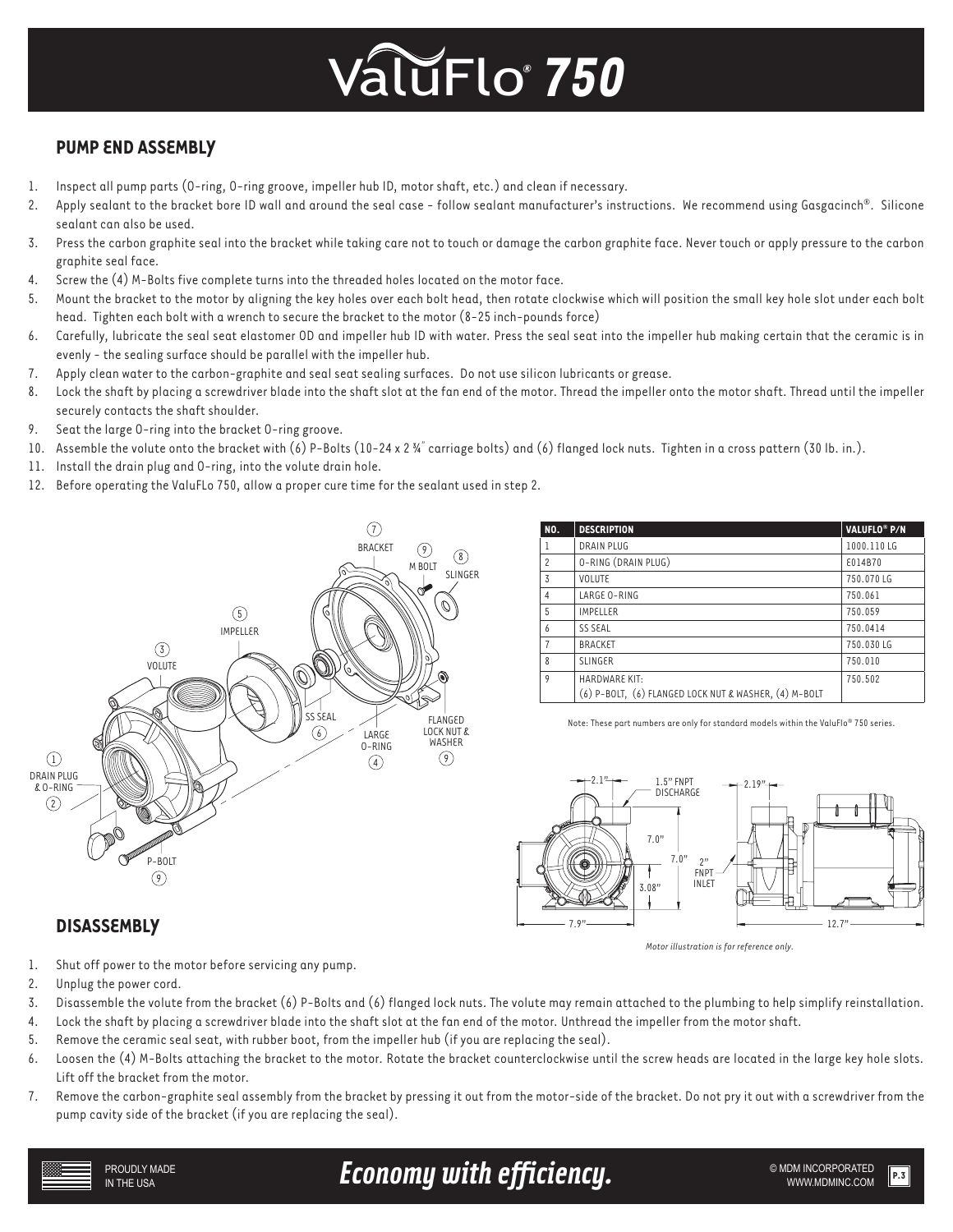## **PUMP END ASSEMBLY**

- 1. Inspect all pump parts (O-ring, O-ring groove, impeller hub ID, motor shaft, etc.) and clean if necessary.
- 2. Apply sealant to the bracket bore ID wall and around the seal case follow sealant manufacturer's instructions. We recommend using Gasgacinch®. Silicone sealant can also be used.
- 3. Press the carbon graphite seal into the bracket while taking care not to touch or damage the carbon graphite face. Never touch or apply pressure to the carbon graphite seal face.
- 4. Screw the (4) M-Bolts five complete turns into the threaded holes located on the motor face.
- 5. Mount the bracket to the motor by aligning the key holes over each bolt head, then rotate clockwise which will position the small key hole slot under each bolt head. Tighten each bolt with a wrench to secure the bracket to the motor (8-25 inch-pounds force)
- 6. Carefully, lubricate the seal seat elastomer OD and impeller hub ID with water. Press the seal seat into the impeller hub making certain that the ceramic is in evenly - the sealing surface should be parallel with the impeller hub.
- 7. Apply clean water to the carbon-graphite and seal seat sealing surfaces. Do not use silicon lubricants or grease.
- 8. Lock the shaft by placing a screwdriver blade into the shaft slot at the fan end of the motor. Thread the impeller onto the motor shaft. Thread until the impeller securely contacts the shaft shoulder.
- 9. Seat the large O-ring into the bracket O-ring groove.
- 10. Assemble the volute onto the bracket with (6) P-Bolts (10-24 x 2 ¾" carriage bolts) and (6) flanged lock nuts. Tighten in a cross pattern (30 lb. in.).
- 11. Install the drain plug and O-ring, into the volute drain hole.
- 12. Before operating the ValuFLo 750, allow a proper cure time for the sealant used in step 2.



| NO.            | <b>DESCRIPTION</b>                                                            | VALUFLO <sup>®</sup> P/N |
|----------------|-------------------------------------------------------------------------------|--------------------------|
| 1              | DRAIN PLUG                                                                    | 1000.110LG               |
| $\overline{c}$ | O-RING (DRAIN PLUG)                                                           | £014B70                  |
| 3              | <b>VOLUTE</b>                                                                 | 750.070LG                |
| 4              | LARGE O-RING                                                                  | 750.061                  |
| 5              | <b>IMPELLER</b>                                                               | 750.059                  |
| 6              | <b>SS SEAL</b>                                                                | 750.0414                 |
| $\overline{7}$ | <b>BRACKET</b>                                                                | 750.030LG                |
| 8              | <b>SLINGER</b>                                                                | 750.010                  |
| 9              | <b>HARDWARE KIT:</b><br>(6) P-BOLT, (6) FLANGED LOCK NUT & WASHER, (4) M-BOLT | 750.502                  |

Note: These part numbers are only for standard models within the ValuFlo® 750 series.



*Motor illustration is for reference only.*

## **DISASSEMBLY**

- 1. Shut off power to the motor before servicing any pump.
- 2. Unplug the power cord.
- 3. Disassemble the volute from the bracket (6) P-Bolts and (6) flanged lock nuts. The volute may remain attached to the plumbing to help simplify reinstallation.
- 4. Lock the shaft by placing a screwdriver blade into the shaft slot at the fan end of the motor. Unthread the impeller from the motor shaft.
- 5. Remove the ceramic seal seat, with rubber boot, from the impeller hub (if you are replacing the seal).
- 6. Loosen the (4) M-Bolts attaching the bracket to the motor. Rotate the bracket counterclockwise until the screw heads are located in the large key hole slots. Lift off the bracket from the motor.
- 7. Remove the carbon-graphite seal assembly from the bracket by pressing it out from the motor-side of the bracket. Do not pry it out with a screwdriver from the pump cavity side of the bracket (if you are replacing the seal).



## Economy with efficiency. **Example 2018 MDM INCORPORATED**